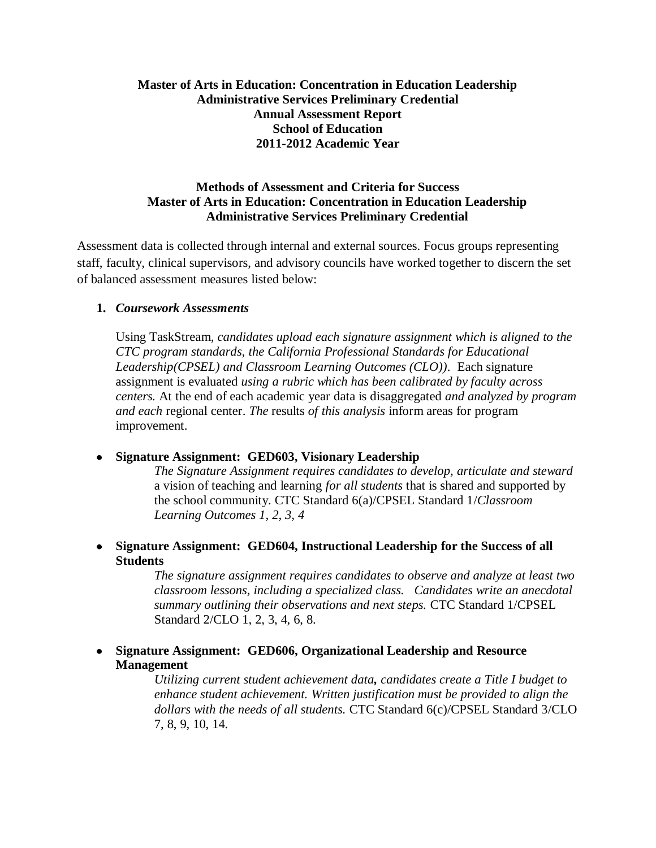## **Master of Arts in Education: Concentration in Education Leadership Administrative Services Preliminary Credential Annual Assessment Report School of Education 2011-2012 Academic Year**

#### **Methods of Assessment and Criteria for Success Master of Arts in Education: Concentration in Education Leadership Administrative Services Preliminary Credential**

Assessment data is collected through internal and external sources. Focus groups representing staff, faculty, clinical supervisors, and advisory councils have worked together to discern the set of balanced assessment measures listed below:

#### **1.** *Coursework Assessments*

Using TaskStream, *candidates upload each signature assignment which is aligned to the CTC program standards, the California Professional Standards for Educational Leadership(CPSEL) and Classroom Learning Outcomes (CLO))*. Each signature assignment is evaluated *using a rubric which has been calibrated by faculty across centers.* At the end of each academic year data is disaggregated *and analyzed by program and each* regional center. *The* results *of this analysis* inform areas for program improvement.

## **Signature Assignment: GED603, Visionary Leadership**

*The Signature Assignment requires candidates to develop, articulate and steward*  a vision of teaching and learning *for all students* that is shared and supported by the school community. CTC Standard 6(a)/CPSEL Standard 1/*Classroom Learning Outcomes 1, 2, 3, 4*

**Signature Assignment: GED604, Instructional Leadership for the Success of all Students**

> *The signature assignment requires candidates to observe and analyze at least two classroom lessons, including a specialized class. Candidates write an anecdotal summary outlining their observations and next steps.* CTC Standard 1/CPSEL Standard 2/CLO 1, 2, 3, 4, 6, 8.

**Signature Assignment: GED606, Organizational Leadership and Resource Management** 

> *Utilizing current student achievement data, candidates create a Title I budget to enhance student achievement. Written justification must be provided to align the dollars with the needs of all students.* CTC Standard 6(c)/CPSEL Standard 3/CLO 7, 8, 9, 10, 14.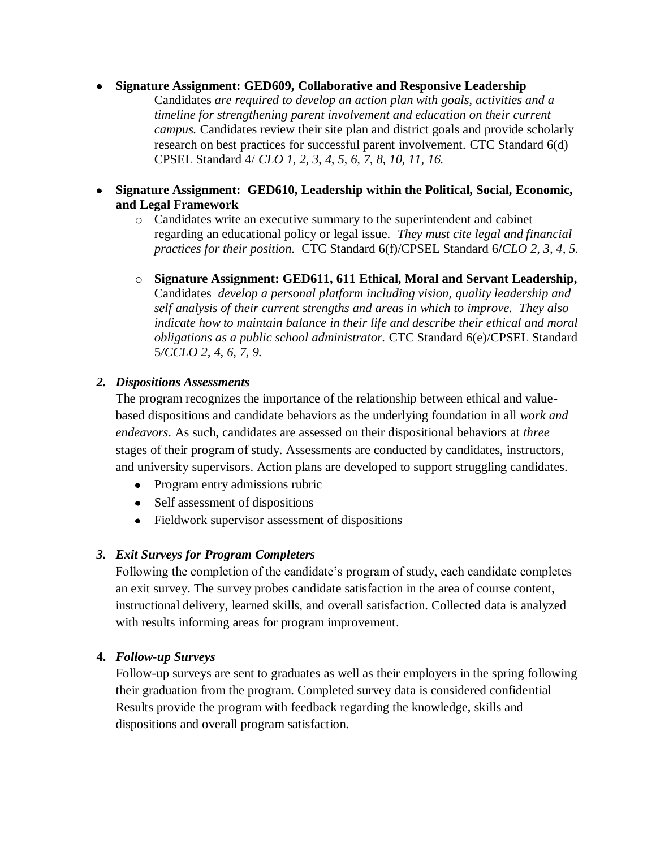#### **Signature Assignment: GED609, Collaborative and Responsive Leadership**

Candidates *are required to develop an action plan with goals, activities and a timeline for strengthening parent involvement and education on their current campus.* Candidates review their site plan and district goals and provide scholarly research on best practices for successful parent involvement. CTC Standard 6(d) CPSEL Standard 4/ *CLO 1, 2, 3, 4, 5, 6, 7, 8, 10, 11, 16.*

- **Signature Assignment: GED610, Leadership within the Political, Social, Economic, and Legal Framework**
	- o Candidates write an executive summary to the superintendent and cabinet regarding an educational policy or legal issue. *They must cite legal and financial practices for their position.* CTC Standard 6(f)/CPSEL Standard 6**/***CLO 2, 3, 4, 5.*
	- o **Signature Assignment: GED611, 611 Ethical, Moral and Servant Leadership,**  Candidates *develop a personal platform including vision, quality leadership and self analysis of their current strengths and areas in which to improve. They also indicate how to maintain balance in their life and describe their ethical and moral obligations as a public school administrator.* CTC Standard 6(e)/CPSEL Standard 5*/CCLO 2, 4, 6, 7, 9.*

#### *2. Dispositions Assessments*

The program recognizes the importance of the relationship between ethical and valuebased dispositions and candidate behaviors as the underlying foundation in all *work and endeavors*. As such, candidates are assessed on their dispositional behaviors at *three* stages of their program of study. Assessments are conducted by candidates, instructors, and university supervisors. Action plans are developed to support struggling candidates.

- Program entry admissions rubric
- Self assessment of dispositions
- Fieldwork supervisor assessment of dispositions

## *3. Exit Surveys for Program Completers*

Following the completion of the candidate's program of study, each candidate completes an exit survey. The survey probes candidate satisfaction in the area of course content, instructional delivery, learned skills, and overall satisfaction. Collected data is analyzed with results informing areas for program improvement.

## **4.** *Follow-up Surveys*

Follow-up surveys are sent to graduates as well as their employers in the spring following their graduation from the program. Completed survey data is considered confidential Results provide the program with feedback regarding the knowledge, skills and dispositions and overall program satisfaction.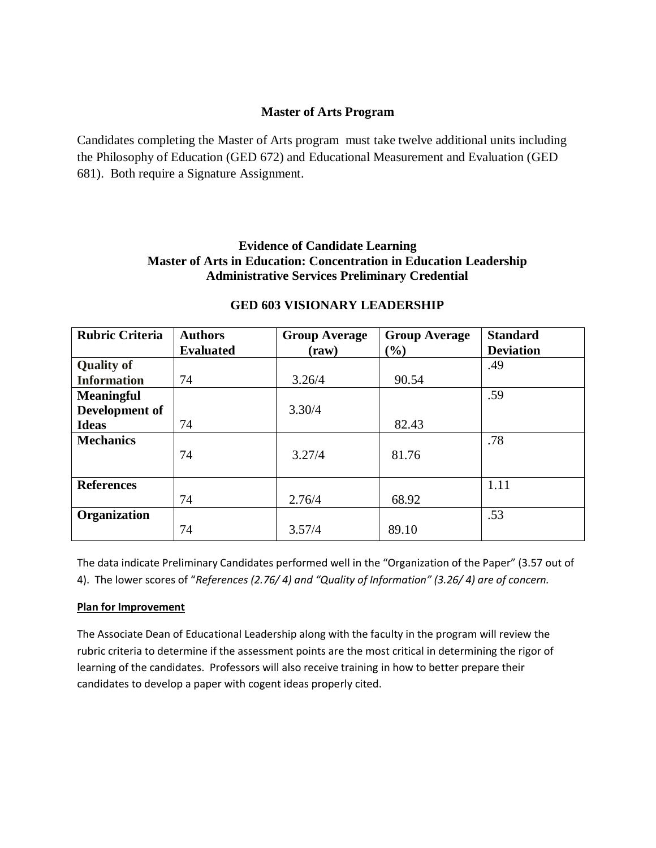#### **Master of Arts Program**

Candidates completing the Master of Arts program must take twelve additional units including the Philosophy of Education (GED 672) and Educational Measurement and Evaluation (GED 681). Both require a Signature Assignment.

## **Evidence of Candidate Learning Master of Arts in Education: Concentration in Education Leadership Administrative Services Preliminary Credential**

| <b>Rubric Criteria</b> | <b>Authors</b>   | <b>Group Average</b> | <b>Group Average</b> | <b>Standard</b>  |
|------------------------|------------------|----------------------|----------------------|------------------|
|                        | <b>Evaluated</b> | (raw)                | $(\%)$               | <b>Deviation</b> |
| <b>Quality of</b>      |                  |                      |                      | .49              |
| <b>Information</b>     | 74               | 3.26/4               | 90.54                |                  |
| <b>Meaningful</b>      |                  |                      |                      | .59              |
| Development of         |                  | 3.30/4               |                      |                  |
| <b>Ideas</b>           | 74               |                      | 82.43                |                  |
| <b>Mechanics</b>       |                  |                      |                      | .78              |
|                        | 74               | 3.27/4               | 81.76                |                  |
|                        |                  |                      |                      |                  |
| <b>References</b>      |                  |                      |                      | 1.11             |
|                        | 74               | 2.76/4               | 68.92                |                  |
| <b>Organization</b>    |                  |                      |                      | .53              |
|                        | 74               | 3.57/4               | 89.10                |                  |

## **GED 603 VISIONARY LEADERSHIP**

The data indicate Preliminary Candidates performed well in the "Organization of the Paper" (3.57 out of 4). The lower scores of "*References (2.76/ 4) and "Quality of Information" (3.26/ 4) are of concern.*

#### **Plan for Improvement**

The Associate Dean of Educational Leadership along with the faculty in the program will review the rubric criteria to determine if the assessment points are the most critical in determining the rigor of learning of the candidates. Professors will also receive training in how to better prepare their candidates to develop a paper with cogent ideas properly cited.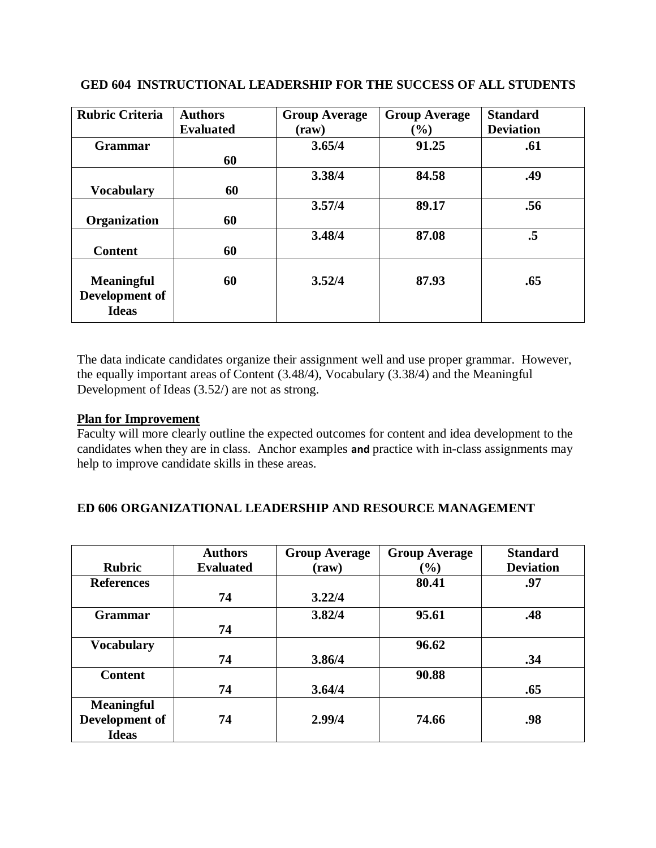| <b>Rubric Criteria</b>                              | <b>Authors</b><br><b>Evaluated</b> | <b>Group Average</b><br>$(\mathbf{raw})$ | <b>Group Average</b><br>$(\%)$ | <b>Standard</b><br><b>Deviation</b> |
|-----------------------------------------------------|------------------------------------|------------------------------------------|--------------------------------|-------------------------------------|
| <b>Grammar</b>                                      | 60                                 | 3.65/4                                   | 91.25                          | .61                                 |
| <b>Vocabulary</b>                                   | 60                                 | 3.38/4                                   | 84.58                          | .49                                 |
| Organization                                        | 60                                 | 3.57/4                                   | 89.17                          | .56                                 |
| <b>Content</b>                                      | 60                                 | 3.48/4                                   | 87.08                          | $\cdot$ 5                           |
| <b>Meaningful</b><br>Development of<br><b>Ideas</b> | 60                                 | 3.52/4                                   | 87.93                          | .65                                 |

#### **GED 604 INSTRUCTIONAL LEADERSHIP FOR THE SUCCESS OF ALL STUDENTS**

The data indicate candidates organize their assignment well and use proper grammar. However, the equally important areas of Content  $(3.48/4)$ , Vocabulary  $(3.38/4)$  and the Meaningful Development of Ideas (3.52/) are not as strong.

#### **Plan for Improvement**

Faculty will more clearly outline the expected outcomes for content and idea development to the candidates when they are in class. Anchor examples **and** practice with in-class assignments may help to improve candidate skills in these areas.

## **ED 606 ORGANIZATIONAL LEADERSHIP AND RESOURCE MANAGEMENT**

| <b>Rubric</b>     | <b>Authors</b><br><b>Evaluated</b> | <b>Group Average</b> | <b>Group Average</b> | <b>Standard</b><br><b>Deviation</b> |
|-------------------|------------------------------------|----------------------|----------------------|-------------------------------------|
|                   |                                    | $(\mathbf{raw})$     | $(\%)$               |                                     |
| <b>References</b> |                                    |                      | 80.41                | .97                                 |
|                   | 74                                 | 3.22/4               |                      |                                     |
| <b>Grammar</b>    |                                    | 3.82/4               | 95.61                | .48                                 |
|                   | 74                                 |                      |                      |                                     |
| <b>Vocabulary</b> |                                    |                      | 96.62                |                                     |
|                   | 74                                 | 3.86/4               |                      | .34                                 |
| <b>Content</b>    |                                    |                      | 90.88                |                                     |
|                   | 74                                 | 3.64/4               |                      | .65                                 |
| <b>Meaningful</b> |                                    |                      |                      |                                     |
| Development of    | 74                                 | 2.99/4               | 74.66                | .98                                 |
| <b>Ideas</b>      |                                    |                      |                      |                                     |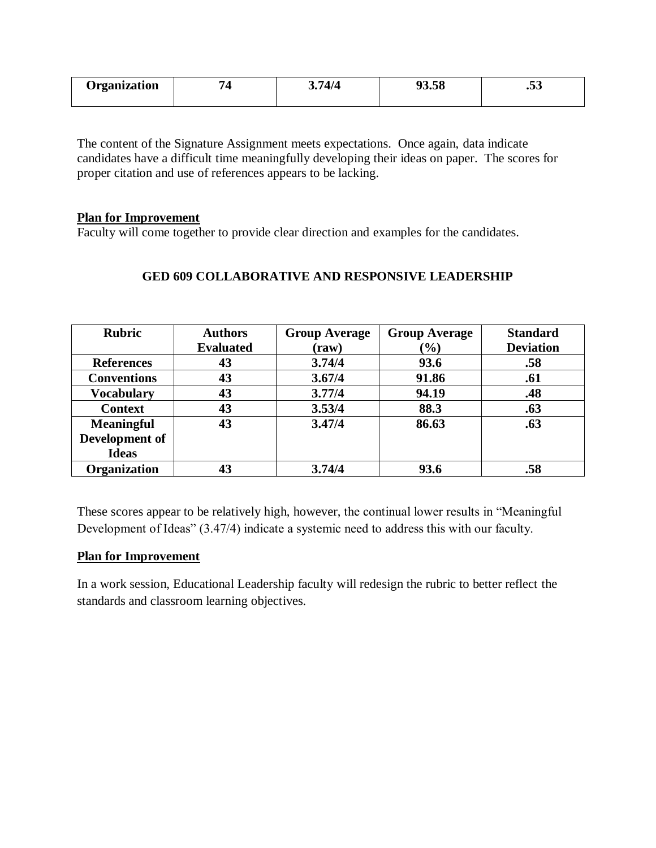| <b>Trganization</b> | $\sqrt{ }$<br>$\epsilon$ | ◡•<br>. ד | $\sim$<br>$\sim$<br>סכ.כי | $-1$<br>$\ddotsc$ |
|---------------------|--------------------------|-----------|---------------------------|-------------------|
|                     |                          |           |                           |                   |

The content of the Signature Assignment meets expectations. Once again, data indicate candidates have a difficult time meaningfully developing their ideas on paper. The scores for proper citation and use of references appears to be lacking.

#### **Plan for Improvement**

Faculty will come together to provide clear direction and examples for the candidates.

| <b>Rubric</b>       | <b>Authors</b>   | <b>Group Average</b> | <b>Group Average</b> | <b>Standard</b>  |
|---------------------|------------------|----------------------|----------------------|------------------|
|                     | <b>Evaluated</b> | $(\mathbf{raw})$     | $(\%)$               | <b>Deviation</b> |
| <b>References</b>   | 43               | 3.74/4               | 93.6                 | .58              |
| <b>Conventions</b>  | 43               | 3.67/4               | 91.86                | .61              |
| <b>Vocabulary</b>   | 43               | 3.77/4               | 94.19                | .48              |
| <b>Context</b>      | 43               | 3.53/4               | 88.3                 | .63              |
| <b>Meaningful</b>   | 43               | 3.47/4               | 86.63                | .63              |
| Development of      |                  |                      |                      |                  |
| <b>Ideas</b>        |                  |                      |                      |                  |
| <b>Organization</b> | 43               | 3.74/4               | 93.6                 | .58              |

## **GED 609 COLLABORATIVE AND RESPONSIVE LEADERSHIP**

These scores appear to be relatively high, however, the continual lower results in "Meaningful Development of Ideas" (3.47/4) indicate a systemic need to address this with our faculty.

## **Plan for Improvement**

In a work session, Educational Leadership faculty will redesign the rubric to better reflect the standards and classroom learning objectives.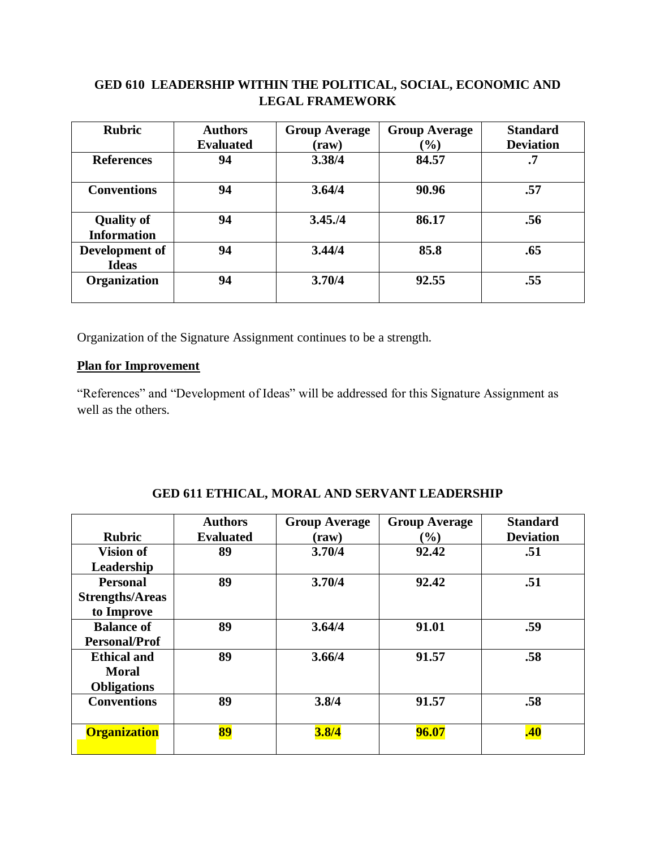## **GED 610 LEADERSHIP WITHIN THE POLITICAL, SOCIAL, ECONOMIC AND LEGAL FRAMEWORK**

| <b>Rubric</b>                           | <b>Authors</b>   | <b>Group Average</b> | <b>Group Average</b> | <b>Standard</b>  |
|-----------------------------------------|------------------|----------------------|----------------------|------------------|
|                                         | <b>Evaluated</b> | (raw)                | $(\%)$               | <b>Deviation</b> |
| <b>References</b>                       | 94               | 3.38/4               | 84.57                | $\cdot$ 7        |
| <b>Conventions</b>                      | 94               | 3.64/4               | 90.96                | .57              |
| <b>Quality of</b><br><b>Information</b> | 94               | 3.45. / 4            | 86.17                | .56              |
| Development of<br><b>Ideas</b>          | 94               | 3.44/4               | 85.8                 | .65              |
| Organization                            | 94               | 3.70/4               | 92.55                | .55              |

Organization of the Signature Assignment continues to be a strength.

# **Plan for Improvement**

"References" and "Development of Ideas" will be addressed for this Signature Assignment as well as the others.

|                        | <b>Authors</b>   | <b>Group Average</b> | <b>Group Average</b>         | <b>Standard</b>  |
|------------------------|------------------|----------------------|------------------------------|------------------|
| <b>Rubric</b>          | <b>Evaluated</b> | (raw)                | $\left( \frac{0}{0} \right)$ | <b>Deviation</b> |
| Vision of              | 89               | 3.70/4               | 92.42                        | .51              |
| Leadership             |                  |                      |                              |                  |
| <b>Personal</b>        | 89               | 3.70/4               | 92.42                        | .51              |
| <b>Strengths/Areas</b> |                  |                      |                              |                  |
| to Improve             |                  |                      |                              |                  |
| <b>Balance of</b>      | 89               | 3.64/4               | 91.01                        | .59              |
| <b>Personal/Prof</b>   |                  |                      |                              |                  |
| <b>Ethical and</b>     | 89               | 3.66/4               | 91.57                        | .58              |
| <b>Moral</b>           |                  |                      |                              |                  |
| <b>Obligations</b>     |                  |                      |                              |                  |
| <b>Conventions</b>     | 89               | 3.8/4                | 91.57                        | .58              |
|                        |                  |                      |                              |                  |
| <b>Organization</b>    | 89               | 3.8/4                | 96.07                        | .40              |
|                        |                  |                      |                              |                  |

## **GED 611 ETHICAL, MORAL AND SERVANT LEADERSHIP**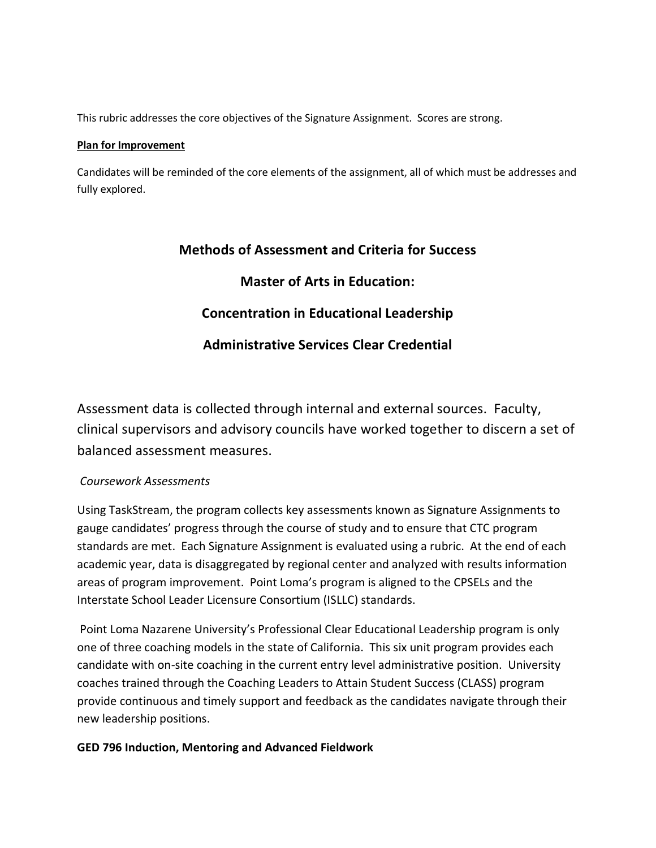This rubric addresses the core objectives of the Signature Assignment. Scores are strong.

#### **Plan for Improvement**

Candidates will be reminded of the core elements of the assignment, all of which must be addresses and fully explored.

# **Methods of Assessment and Criteria for Success**

# **Master of Arts in Education:**

# **Concentration in Educational Leadership**

# **Administrative Services Clear Credential**

Assessment data is collected through internal and external sources. Faculty, clinical supervisors and advisory councils have worked together to discern a set of balanced assessment measures.

## *Coursework Assessments*

Using TaskStream, the program collects key assessments known as Signature Assignments to gauge candidates' progress through the course of study and to ensure that CTC program standards are met. Each Signature Assignment is evaluated using a rubric. At the end of each academic year, data is disaggregated by regional center and analyzed with results information areas of program improvement. Point Loma's program is aligned to the CPSELs and the Interstate School Leader Licensure Consortium (ISLLC) standards.

Point Loma Nazarene University's Professional Clear Educational Leadership program is only one of three coaching models in the state of California. This six unit program provides each candidate with on-site coaching in the current entry level administrative position. University coaches trained through the Coaching Leaders to Attain Student Success (CLASS) program provide continuous and timely support and feedback as the candidates navigate through their new leadership positions.

## **GED 796 Induction, Mentoring and Advanced Fieldwork**